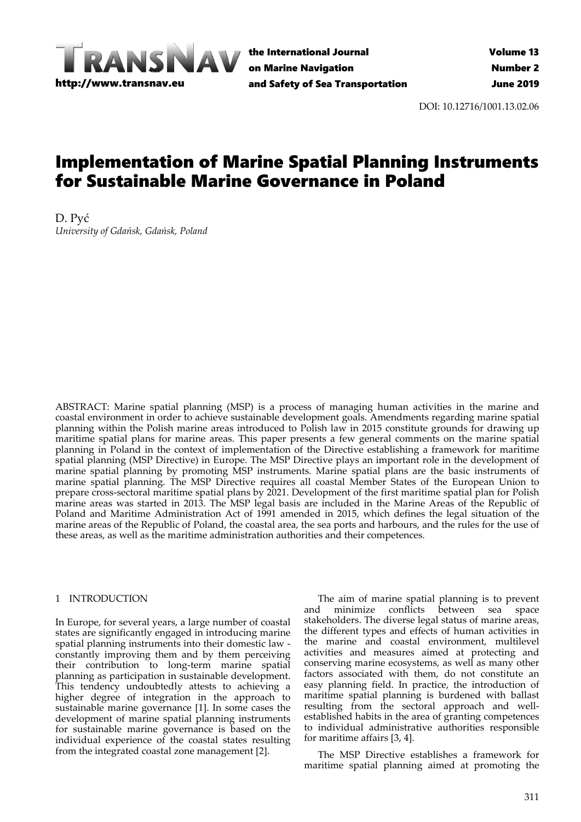

the International Journal on Marine Navigation and Safety of Sea Transportation

DOI: 10.12716/1001.13.02.06

# Implementation of Marine Spatial Planning Instruments for Sustainable Marine Governance in Poland

D. Pyć *University of Gdańsk, Gdańsk, Poland*

ABSTRACT: Marine spatial planning (MSP) is a process of managing human activities in the marine and coastal environment in order to achieve sustainable development goals. Amendments regarding marine spatial planning within the Polish marine areas introduced to Polish law in 2015 constitute grounds for drawing up maritime spatial plans for marine areas. This paper presents a few general comments on the marine spatial planning in Poland in the context of implementation of the Directive establishing a framework for maritime spatial planning (MSP Directive) in Europe. The MSP Directive plays an important role in the development of marine spatial planning by promoting MSP instruments. Marine spatial plans are the basic instruments of marine spatial planning. The MSP Directive requires all coastal Member States of the European Union to prepare cross‐sectoral maritime spatial plans by 2021. Development of the first maritime spatial plan for Polish marine areas was started in 2013. The MSP legal basis are included in the Marine Areas of the Republic of Poland and Maritime Administration Act of 1991 amended in 2015, which defines the legal situation of the marine areas of the Republic of Poland, the coastal area, the sea ports and harbours, and the rules for the use of these areas, as well as the maritime administration authorities and their competences.

#### 1 INTRODUCTION

In Europe, for several years, a large number of coastal states are significantly engaged in introducing marine spatial planning instruments into their domestic law ‐ constantly improving them and by them perceiving their contribution to long‐term marine spatial planning as participation in sustainable development. This tendency undoubtedly attests to achieving a higher degree of integration in the approach to sustainable marine governance [1]. In some cases the development of marine spatial planning instruments for sustainable marine governance is based on the individual experience of the coastal states resulting from the integrated coastal zone management [2].

The aim of marine spatial planning is to prevent and minimize conflicts between sea space stakeholders. The diverse legal status of marine areas, the different types and effects of human activities in the marine and coastal environment, multilevel activities and measures aimed at protecting and conserving marine ecosystems, as well as many other factors associated with them, do not constitute an easy planning field. In practice, the introduction of maritime spatial planning is burdened with ballast resulting from the sectoral approach and well‐ established habits in the area of granting competences to individual administrative authorities responsible for maritime affairs [3, 4].

The MSP Directive establishes a framework for maritime spatial planning aimed at promoting the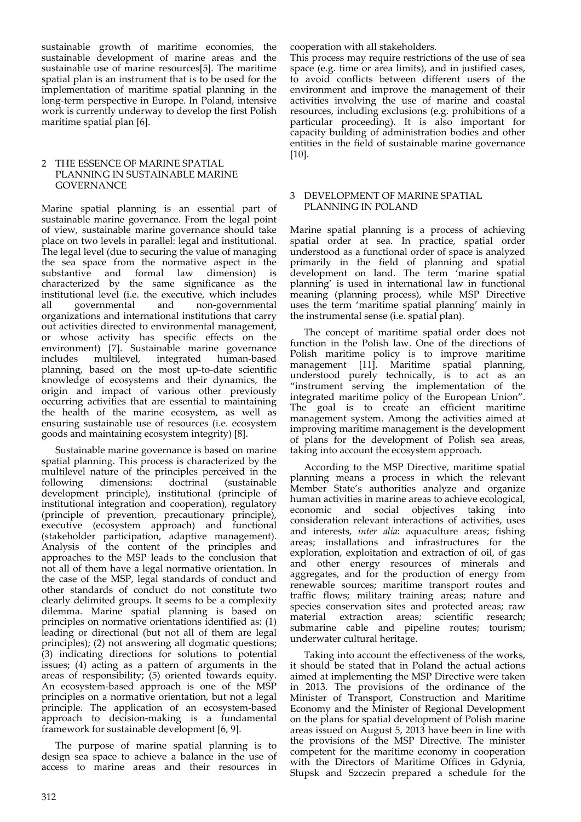sustainable growth of maritime economies, the sustainable development of marine areas and the sustainable use of marine resources[5]. The maritime spatial plan is an instrument that is to be used for the implementation of maritime spatial planning in the long‐term perspective in Europe. In Poland, intensive work is currently underway to develop the first Polish maritime spatial plan [6].

## 2 THE ESSENCE OF MARINE SPATIAL PLANNING IN SUSTAINABLE MARINE GOVERNANCE

Marine spatial planning is an essential part of sustainable marine governance. From the legal point of view, sustainable marine governance should take place on two levels in parallel: legal and institutional. The legal level (due to securing the value of managing the sea space from the normative aspect in the substantive and formal law dimension) is characterized by the same significance as the institutional level (i.e. the executive, which includes all governmental and non‐governmental organizations and international institutions that carry out activities directed to environmental management, or whose activity has specific effects on the environment) [7]. Sustainable marine governance includes multilevel, integrated human‐based planning, based on the most up‐to‐date scientific knowledge of ecosystems and their dynamics, the origin and impact of various other previously occurring activities that are essential to maintaining the health of the marine ecosystem, as well as ensuring sustainable use of resources (i.e. ecosystem goods and maintaining ecosystem integrity) [8].

Sustainable marine governance is based on marine spatial planning. This process is characterized by the multilevel nature of the principles perceived in the following dimensions: doctrinal (sustainable development principle), institutional (principle of institutional integration and cooperation), regulatory (principle of prevention, precautionary principle), executive (ecosystem approach) and functional (stakeholder participation, adaptive management). Analysis of the content of the principles and approaches to the MSP leads to the conclusion that not all of them have a legal normative orientation. In the case of the MSP, legal standards of conduct and other standards of conduct do not constitute two clearly delimited groups. It seems to be a complexity dilemma. Marine spatial planning is based on principles on normative orientations identified as: (1) leading or directional (but not all of them are legal principles); (2) not answering all dogmatic questions; (3) indicating directions for solutions to potential issues; (4) acting as a pattern of arguments in the areas of responsibility; (5) oriented towards equity. An ecosystem-based approach is one of the MSP principles on a normative orientation, but not a legal principle. The application of an ecosystem‐based approach to decision‐making is a fundamental framework for sustainable development [6, 9].

The purpose of marine spatial planning is to design sea space to achieve a balance in the use of access to marine areas and their resources in

cooperation with all stakeholders.

This process may require restrictions of the use of sea space (e.g. time or area limits), and in justified cases, to avoid conflicts between different users of the environment and improve the management of their activities involving the use of marine and coastal resources, including exclusions (e.g. prohibitions of a particular proceeding). It is also important for capacity building of administration bodies and other entities in the field of sustainable marine governance [10].

## 3 DEVELOPMENT OF MARINE SPATIAL PLANNING IN POLAND

Marine spatial planning is a process of achieving spatial order at sea. In practice, spatial order understood as a functional order of space is analyzed primarily in the field of planning and spatial development on land. The term 'marine spatial planning' is used in international law in functional meaning (planning process), while MSP Directive uses the term 'maritime spatial planning' mainly in the instrumental sense (i.e. spatial plan).

The concept of maritime spatial order does not function in the Polish law. One of the directions of Polish maritime policy is to improve maritime management [11]. Maritime spatial planning, understood purely technically, is to act as an "instrument serving the implementation of the integrated maritime policy of the European Union". The goal is to create an efficient maritime management system. Among the activities aimed at improving maritime management is the development of plans for the development of Polish sea areas, taking into account the ecosystem approach.

According to the MSP Directive, maritime spatial planning means a process in which the relevant Member State's authorities analyze and organize human activities in marine areas to achieve ecological, economic and social objectives taking into and social objectives taking into consideration relevant interactions of activities, uses and interests, *inter alia*: aquaculture areas; fishing areas; installations and infrastructures for the exploration, exploitation and extraction of oil, of gas and other energy resources of minerals and aggregates, and for the production of energy from renewable sources; maritime transport routes and traffic flows; military training areas; nature and species conservation sites and protected areas; raw<br>material extraction areas: scientific research: scientific research; submarine cable and pipeline routes; tourism; underwater cultural heritage.

Taking into account the effectiveness of the works, it should be stated that in Poland the actual actions aimed at implementing the MSP Directive were taken in 2013. The provisions of the ordinance of the Minister of Transport, Construction and Maritime Economy and the Minister of Regional Development on the plans for spatial development of Polish marine areas issued on August 5, 2013 have been in line with the provisions of the MSP Directive. The minister competent for the maritime economy in cooperation with the Directors of Maritime Offices in Gdynia, Słupsk and Szczecin prepared a schedule for the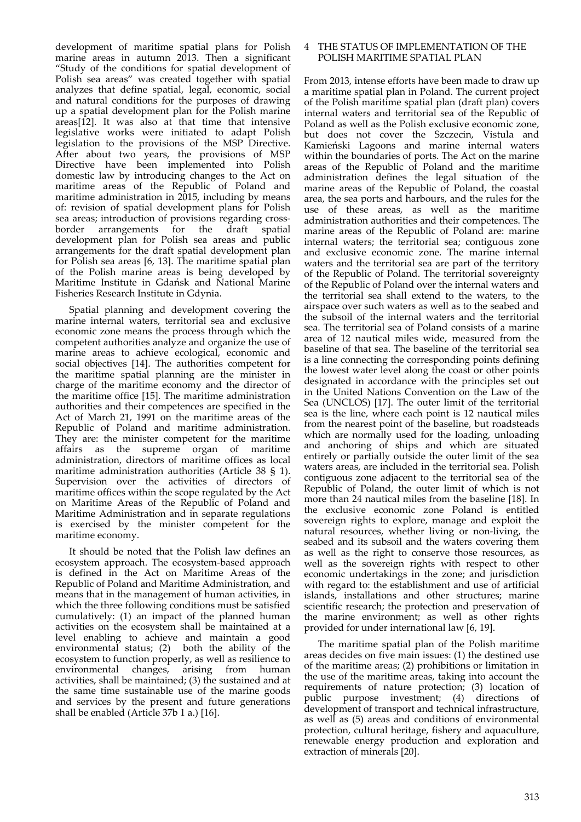development of maritime spatial plans for Polish marine areas in autumn 2013. Then a significant "Study of the conditions for spatial development of Polish sea areas" was created together with spatial analyzes that define spatial, legal, economic, social and natural conditions for the purposes of drawing up a spatial development plan for the Polish marine areas[12]. It was also at that time that intensive legislative works were initiated to adapt Polish legislation to the provisions of the MSP Directive. After about two years, the provisions of MSP Directive have been implemented into Polish domestic law by introducing changes to the Act on maritime areas of the Republic of Poland and maritime administration in  $2015$ , including by means of: revision of spatial development plans for Polish sea areas; introduction of provisions regarding crossborder arrangements for the draft spatial development plan for Polish sea areas and public arrangements for the draft spatial development plan for Polish sea areas [6, 13]. The maritime spatial plan of the Polish marine areas is being developed by Maritime Institute in Gdańsk and National Marine Fisheries Research Institute in Gdynia.

Spatial planning and development covering the marine internal waters, territorial sea and exclusive economic zone means the process through which the competent authorities analyze and organize the use of marine areas to achieve ecological, economic and social objectives [14]. The authorities competent for the maritime spatial planning are the minister in charge of the maritime economy and the director of the maritime office [15]. The maritime administration authorities and their competences are specified in the Act of March 21, 1991 on the maritime areas of the Republic of Poland and maritime administration. They are: the minister competent for the maritime affairs as the supreme organ of maritime administration, directors of maritime offices as local maritime administration authorities (Article 38 § 1). Supervision over the activities of directors of maritime offices within the scope regulated by the Act on Maritime Areas of the Republic of Poland and Maritime Administration and in separate regulations is exercised by the minister competent for the maritime economy.

It should be noted that the Polish law defines an ecosystem approach. The ecosystem‐based approach is defined in the Act on Maritime Areas of the Republic of Poland and Maritime Administration, and means that in the management of human activities, in which the three following conditions must be satisfied cumulatively: (1) an impact of the planned human activities on the ecosystem shall be maintained at a level enabling to achieve and maintain a good environmental status;  $(2)$  both the ability of the ecosystem to function properly, as well as resilience to environmental changes, arising from human activities, shall be maintained; (3) the sustained and at the same time sustainable use of the marine goods and services by the present and future generations shall be enabled (Article 37b 1 a.) [16].

#### THE STATUS OF IMPLEMENTATION OF THE POLISH MARITIME SPATIAL PLAN

From 2013, intense efforts have been made to draw up a maritime spatial plan in Poland. The current project of the Polish maritime spatial plan (draft plan) covers internal waters and territorial sea of the Republic of Poland as well as the Polish exclusive economic zone, but does not cover the Szczecin, Vistula and Kamieński Lagoons and marine internal waters within the boundaries of ports. The Act on the marine areas of the Republic of Poland and the maritime administration defines the legal situation of the marine areas of the Republic of Poland, the coastal area, the sea ports and harbours, and the rules for the use of these areas, as well as the maritime administration authorities and their competences. The marine areas of the Republic of Poland are: marine internal waters; the territorial sea; contiguous zone and exclusive economic zone. The marine internal waters and the territorial sea are part of the territory of the Republic of Poland. The territorial sovereignty of the Republic of Poland over the internal waters and the territorial sea shall extend to the waters, to the airspace over such waters as well as to the seabed and the subsoil of the internal waters and the territorial sea. The territorial sea of Poland consists of a marine area of 12 nautical miles wide, measured from the baseline of that sea. The baseline of the territorial sea is a line connecting the corresponding points defining the lowest water level along the coast or other points designated in accordance with the principles set out in the United Nations Convention on the Law of the Sea (UNCLOS) [17]. The outer limit of the territorial sea is the line, where each point is 12 nautical miles from the nearest point of the baseline, but roadsteads which are normally used for the loading, unloading and anchoring of ships and which are situated entirely or partially outside the outer limit of the sea waters areas, are included in the territorial sea. Polish contiguous zone adjacent to the territorial sea of the Republic of Poland, the outer limit of which is not more than 24 nautical miles from the baseline [18]. In the exclusive economic zone Poland is entitled sovereign rights to explore, manage and exploit the natural resources, whether living or non‐living, the seabed and its subsoil and the waters covering them as well as the right to conserve those resources, as well as the sovereign rights with respect to other economic undertakings in the zone; and jurisdiction with regard to: the establishment and use of artificial islands, installations and other structures; marine scientific research; the protection and preservation of the marine environment; as well as other rights provided for under international law [6, 19].

The maritime spatial plan of the Polish maritime areas decides on five main issues: (1) the destined use of the maritime areas; (2) prohibitions or limitation in the use of the maritime areas, taking into account the requirements of nature protection; (3) location of public purpose investment; (4) directions of development of transport and technical infrastructure, as well as (5) areas and conditions of environmental protection, cultural heritage, fishery and aquaculture, renewable energy production and exploration and extraction of minerals [20].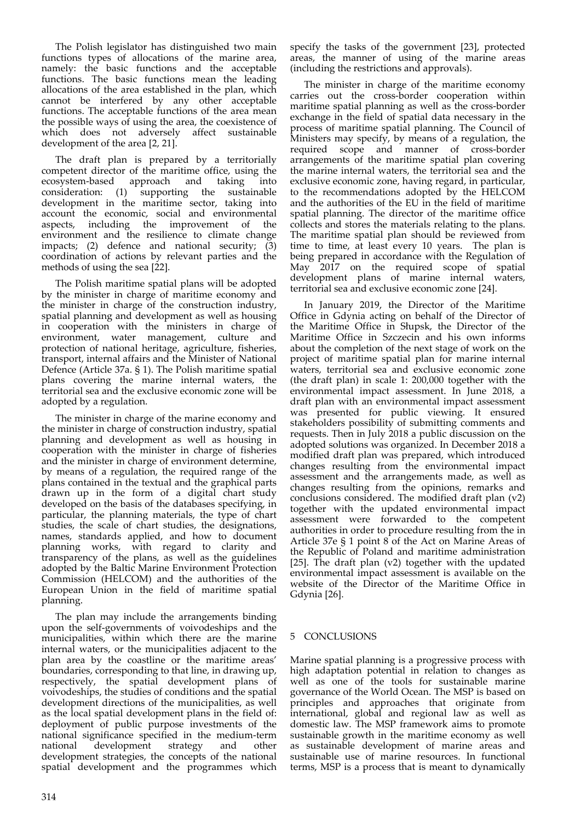The Polish legislator has distinguished two main functions types of allocations of the marine area, namely: the basic functions and the acceptable functions. The basic functions mean the leading allocations of the area established in the plan, which cannot be interfered by any other acceptable functions. The acceptable functions of the area mean the possible ways of using the area, the coexistence of which does not adversely affect sustainable development of the area [2, 21].

The draft plan is prepared by a territorially competent director of the maritime office, using the ecosystem-based approach and taking into ecosystem‐based approach and taking into consideration: (1) supporting the sustainable development in the maritime sector, taking into account the economic, social and environmental aspects, including the improvement of the environment and the resilience to climate change impacts; (2) defence and national security; (3) coordination of actions by relevant parties and the methods of using the sea [22].

The Polish maritime spatial plans will be adopted by the minister in charge of maritime economy and the minister in charge of the construction industry, spatial planning and development as well as housing in cooperation with the ministers in charge of environment, water management, culture and protection of national heritage, agriculture, fisheries, transport, internal affairs and the Minister of National Defence (Article 37a. § 1). The Polish maritime spatial plans covering the marine internal waters, the territorial sea and the exclusive economic zone will be adopted by a regulation.

The minister in charge of the marine economy and the minister in charge of construction industry, spatial planning and development as well as housing in cooperation with the minister in charge of fisheries and the minister in charge of environment determine, by means of a regulation, the required range of the plans contained in the textual and the graphical parts drawn up in the form of a digital chart study developed on the basis of the databases specifying, in particular, the planning materials, the type of chart studies, the scale of chart studies, the designations, names, standards applied, and how to document planning works, with regard to clarity and transparency of the plans, as well as the guidelines adopted by the Baltic Marine Environment Protection Commission (HELCOM) and the authorities of the European Union in the field of maritime spatial planning.

The plan may include the arrangements binding upon the self‐governments of voivodeships and the municipalities, within which there are the marine internal waters, or the municipalities adjacent to the plan area by the coastline or the maritime areas' boundaries, corresponding to that line, in drawing up, respectively, the spatial development plans of voivodeships, the studies of conditions and the spatial development directions of the municipalities, as well as the local spatial development plans in the field of: deployment of public purpose investments of the national significance specified in the medium-term<br>national development strategy and other development strategy development strategies, the concepts of the national spatial development and the programmes which

specify the tasks of the government [23], protected areas, the manner of using of the marine areas (including the restrictions and approvals).

The minister in charge of the maritime economy carries out the cross‐border cooperation within maritime spatial planning as well as the cross-border exchange in the field of spatial data necessary in the process of maritime spatial planning. The Council of Ministers may specify, by means of a regulation, the required scope and manner of cross‐border arrangements of the maritime spatial plan covering the marine internal waters, the territorial sea and the exclusive economic zone, having regard, in particular, to the recommendations adopted by the HELCOM and the authorities of the EU in the field of maritime spatial planning. The director of the maritime office collects and stores the materials relating to the plans. The maritime spatial plan should be reviewed from time to time, at least every 10 years. The plan is being prepared in accordance with the Regulation of May 2017 on the required scope of spatial development plans of marine internal waters, territorial sea and exclusive economic zone [24].

In January 2019, the Director of the Maritime Office in Gdynia acting on behalf of the Director of the Maritime Office in Słupsk, the Director of the Maritime Office in Szczecin and his own informs about the completion of the next stage of work on the project of maritime spatial plan for marine internal waters, territorial sea and exclusive economic zone (the draft plan) in scale 1: 200,000 together with the environmental impact assessment. In June 2018, a draft plan with an environmental impact assessment was presented for public viewing. It ensured stakeholders possibility of submitting comments and requests. Then in July 2018 a public discussion on the adopted solutions was organized. In December 2018 a modified draft plan was prepared, which introduced changes resulting from the environmental impact assessment and the arrangements made, as well as changes resulting from the opinions, remarks and conclusions considered. The modified draft plan (v2) together with the updated environmental impact assessment were forwarded to the competent authorities in order to procedure resulting from the in Article 37e § 1 point 8 of the Act on Marine Areas of the Republic of Poland and maritime administration [25]. The draft plan (v2) together with the updated environmental impact assessment is available on the website of the Director of the Maritime Office in Gdynia [26].

## 5 CONCLUSIONS

Marine spatial planning is a progressive process with high adaptation potential in relation to changes as well as one of the tools for sustainable marine governance of the World Ocean. The MSP is based on principles and approaches that originate from international, global and regional law as well as domestic law. The MSP framework aims to promote sustainable growth in the maritime economy as well as sustainable development of marine areas and sustainable use of marine resources. In functional terms, MSP is a process that is meant to dynamically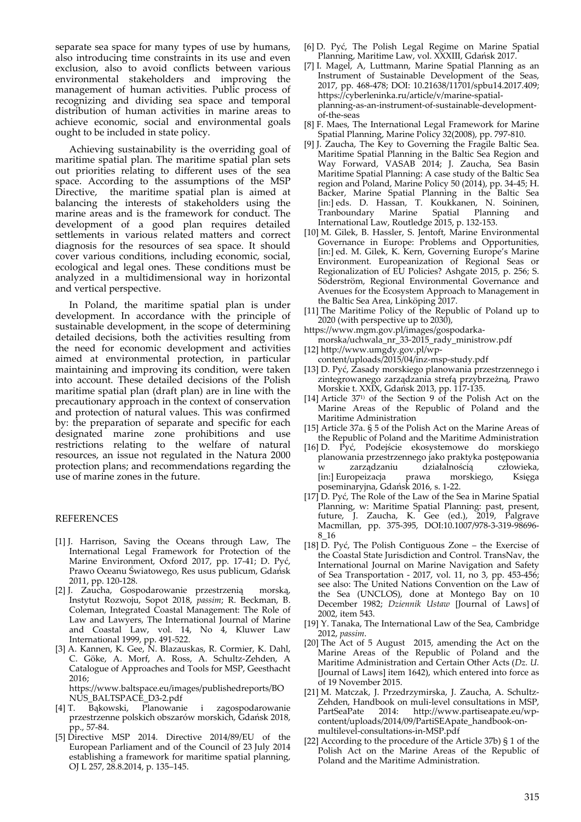separate sea space for many types of use by humans, also introducing time constraints in its use and even exclusion, also to avoid conflicts between various environmental stakeholders and improving the management of human activities. Public process of recognizing and dividing sea space and temporal distribution of human activities in marine areas to achieve economic, social and environmental goals ought to be included in state policy.

Achieving sustainability is the overriding goal of maritime spatial plan. The maritime spatial plan sets out priorities relating to different uses of the sea space. According to the assumptions of the MSP Directive, the maritime spatial plan is aimed at balancing the interests of stakeholders using the marine areas and is the framework for conduct. The development of a good plan requires detailed settlements in various related matters and correct diagnosis for the resources of sea space. It should cover various conditions, including economic, social, ecological and legal ones. These conditions must be analyzed in a multidimensional way in horizontal and vertical perspective.

In Poland, the maritime spatial plan is under development. In accordance with the principle of sustainable development, in the scope of determining detailed decisions, both the activities resulting from the need for economic development and activities aimed at environmental protection, in particular maintaining and improving its condition, were taken into account. These detailed decisions of the Polish maritime spatial plan (draft plan) are in line with the precautionary approach in the context of conservation and protection of natural values. This was confirmed by: the preparation of separate and specific for each designated marine zone prohibitions and use restrictions relating to the welfare of natural resources, an issue not regulated in the Natura 2000 protection plans; and recommendations regarding the use of marine zones in the future.

#### REFERENCES

- [1] J. Harrison, Saving the Oceans through Law, The International Legal Framework for Protection of the Marine Environment, Oxford 2017, pp. 17‐41; D. Pyć, Prawo Oceanu Światowego, Res usus publicum, Gdańsk 2011, pp. 120‐128.
- [2] J. Zaucha, Gospodarowanie przestrzenią morską, Instytut Rozwoju, Sopot 2018, *passim*; R. Beckman, B. Coleman, Integrated Coastal Management: The Role of Law and Lawyers, The International Journal of Marine and Coastal Law, vol. 14, No 4, Kluwer Law International 1999, pp. 491‐522.
- [3] A. Kannen, K. Gee, N. Blazauskas, R. Cormier, K. Dahl, C. Göke, A. Morf, A. Ross, A. Schultz‐Zehden, A Catalogue of Approaches and Tools for MSP, Geesthacht 2016; https://www.baltspace.eu/images/publishedreports/BO
- NÚS\_BALTSPACĖ\_D3-2.pdf<br>T. Bąkowski, Planowanie [4] T. Bąkowski, Planowanie i zagospodarowanie przestrzenne polskich obszarów morskich, Gdańsk 2018,
- pp., 57‐84. [5] Directive MSP 2014. Directive 2014/89/EU of the European Parliament and of the Council of 23 July 2014 establishing a framework for maritime spatial planning, OJ L 257, 28.8.2014, p. 135–145.
- [6] D. Pyć, The Polish Legal Regime on Marine Spatial Planning, Maritime Law, vol. XXXIII, Gdańsk 2017.
- [7] I. Magel, A, Luttmann, Marine Spatial Planning as an Instrument of Sustainable Development of the Seas, 2017, pp. 468‐478; DOI: 10.21638/11701/spbu14.2017.409; https://cyberleninka.ru/article/v/marine‐spatial‐ planning‐as‐an‐instrument‐of‐sustainable‐development‐ of‐the‐seas
- [8] F. Maes, The International Legal Framework for Marine Spatial Planning, Marine Policy 32(2008), pp. 797‐810.
- [9] J. Zaucha, The Key to Governing the Fragile Baltic Sea. Maritime Spatial Planning in the Baltic Sea Region and Way Forward, VASAB 2014; J. Zaucha, Sea Basin Maritime Spatial Planning: A case study of the Baltic Sea region and Poland, Marine Policy 50 (2014), pp. 34‐45; H. Backer, Marine Spatial Planning in the Baltic Sea [in:] eds. D. Hassan, T. Koukkanen, N. Soininen, Tranboundary Marine Spatial Planning and International Law, Routledge 2015, p. 132‐153.
- [10] M. Gilek, B. Hassler, S. Jentoft, Marine Environmental Governance in Europe: Problems and Opportunities, [in:] ed. M. Gilek, K. Kern, Governing Europe's Marine Environment. Europeanization of Regional Seas or Regionalization of EU Policies? Ashgate 2015, p. 256; S. Söderström, Regional Environmental Governance and Avenues for the Ecosystem Approach to Management in the Baltic Sea Area, Linköping 2017.
- [11] The Maritime Policy of the Republic of Poland up to 2020 (with perspective up to 2030),
- https://www.mgm.gov.pl/images/gospodarka‐ morska/uchwala\_nr\_33‐2015\_rady\_ministrow.pdf
- [12] http://www.umgdy.gov.pl/wp‐
- content/uploads/2015/04/inz‐msp‐study.pdf
- [13] D. Pyć, Zasady morskiego planowania przestrzennego i zintegrowanego zarządzania strefą przybrzeżną, Prawo Morskie t. XXIX, Gdańsk 2013, pp. 117‐135.
- [14] Article 371) of the Section 9 of the Polish Act on the Marine Areas of the Republic of Poland and the Maritime Administration
- [15] Article 37a. § 5 of the Polish Act on the Marine Areas of the Republic of Poland and the Maritime Administration
- [16] D. Pyć, Podejście ekosystemowe do morskiego planowania przestrzennego jako praktyka postępowania w zarządzaniu działalnością człowieka,<br>[in:] Europeizacia prawa morskiego, Ksiega [in:] Europeizacja poseminaryjna, Gdańsk 2016, s. 1‐22.
- [17] D. Pyć, The Role of the Law of the Sea in Marine Spatial Planning, w: Maritime Spatial Planning: past, present, future, J. Zaucha, K. Gee (ed.), 2019, Palgrave Macmillan, pp. 375‐395, DOI:10.1007/978‐3‐319‐98696‐ 8\_16
- [18] D. Pyć, The Polish Contiguous Zone the Exercise of the Coastal State Jurisdiction and Control. TransNav, the International Journal on Marine Navigation and Safety of Sea Transportation ‐ 2017, vol. 11, no 3, pp. 453‐456; see also: The United Nations Convention on the Law of the Sea (UNCLOS), done at Montego Bay on 10 December 1982; *Dziennik Ustaw* [Journal of Laws] of 2002, item 543.
- [19] Y. Tanaka, The International Law of the Sea, Cambridge 2012, *passim*.
- [20] The Act of 5 August 2015, amending the Act on the Marine Areas of the Republic of Poland and the Maritime Administration and Certain Other Acts (*Dz. U.* [Journal of Laws] item 1642), which entered into force as of 19 November 2015.
- [21] M. Matczak, J. Przedrzymirska, J. Zaucha, A. Schultz‐ Zehden, Handbook on muli-level consultations in MSP,<br>PartSeaPate 2014: http://www.partiseapate.eu/wphttp://www.partiseapate.eu/wpcontent/uploads/2014/09/PartiSEApate\_handbook‐on‐ multilevel‐consultations‐in‐MSP.pdf
- [22] According to the procedure of the Article 37b) § 1 of the Polish Act on the Marine Areas of the Republic of Poland and the Maritime Administration.